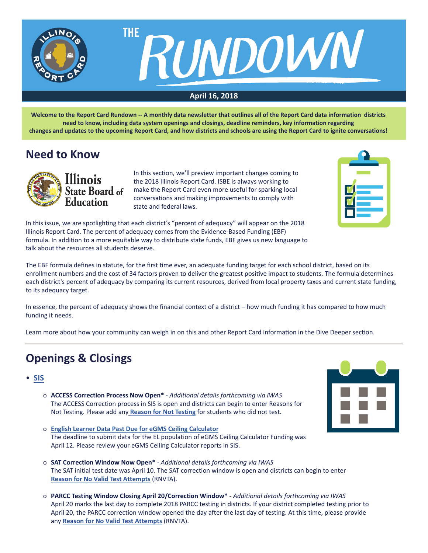



### **April 16, 2018**

**Welcome to the Report Card Rundown -- A monthly data newsletter that outlines all of the Report Card data information districts need to know, including data system openings and closings, deadline reminders, key information regarding changes and updates to the upcoming Report Card, and how districts and schools are using the Report Card to ignite conversations!**

# **Need to Know**



In this section, we'll preview important changes coming to the 2018 Illinois Report Card. ISBE is always working to make the Report Card even more useful for sparking local conversations and making improvements to comply with state and federal laws.



In this issue, we are spotlighting that each district's "percent of adequacy" will appear on the 2018 Illinois Report Card. The percent of adequacy comes from the Evidence-Based Funding (EBF) formula. In addition to a more equitable way to distribute state funds, EBF gives us new language to talk about the resources all students deserve.

The EBF formula defines in statute, for the first time ever, an adequate funding target for each school district, based on its enrollment numbers and the cost of 34 factors proven to deliver the greatest positive impact to students. The formula determines each district's percent of adequacy by comparing its current resources, derived from local property taxes and current state funding, to its adequacy target.

In essence, the percent of adequacy shows the financial context of a district – how much funding it has compared to how much funding it needs.

Learn more about how your community can weigh in on this and other Report Card information in the Dive Deeper section.

# **Openings & Closings**

- **[SIS](https://www.isbe.net/Pages/Student-Information-System.aspx)**
	- o **ACCESS Correction Process Now Open\*** *Additional details forthcoming via IWAS* The ACCESS Correction process in SIS is open and districts can begin to enter Reasons for Not Testing. Please add any **[Reason for Not Testing](https://www.isbe.net/Documents/access-reason-not-testing.pdf)** for students who did not test.
- 
- o **[English Learner Data Past Due for eGMS Ceiling Calculator](https://www.isbe.net/Documents/SIS_EL_eGMS.pdf)** The deadline to submit data for the EL population of eGMS Ceiling Calculator Funding was April 12. Please review your eGMS Ceiling Calculator reports in SIS.
- o **SAT Correction Window Now Open\*** *Additional details forthcoming via IWAS* The SAT initial test date was April 10. The SAT correction window is open and districts can begin to enter **[Reason for No Valid Test Attempts](https://www.isbe.net/Documents/reason-no-valid-test-attmpt.pdf)** (RNVTA).
- o **PARCC Testing Window Closing April 20/Correction Window\*** *Additional details forthcoming via IWAS* April 20 marks the last day to complete 2018 PARCC testing in districts. If your district completed testing prior to April 20, the PARCC correction window opened the day after the last day of testing. At this time, please provide any **[Reason for No Valid Test Attempts](https://www.isbe.net/Documents/reason-no-valid-test-attmpt.pdf)** (RNVTA).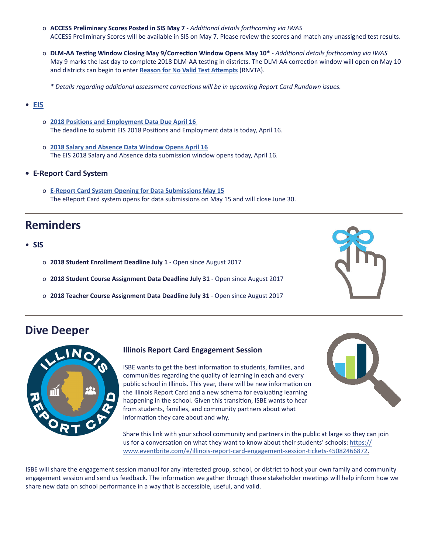- o **ACCESS Preliminary Scores Posted in SIS May 7** *Additional details forthcoming via IWAS* ACCESS Preliminary Scores will be available in SIS on May 7. Please review the scores and match any unassigned test results.
- o **DLM-AA Testing Window Closing May 9/Correction Window Opens May 10\*** *Additional details forthcoming via IWAS* May 9 marks the last day to complete 2018 DLM-AA testing in districts. The DLM-AA correction window will open on May 10 and districts can begin to enter **[Reason for No Valid Test Attempts](https://www.isbe.net/Documents/reason-no-valid-test-attmpt.pdf)** (RNVTA).
	- *\* Details regarding additional assessment corrections will be in upcoming Report Card Rundown issues.*

#### • **[EIS](https://www.isbe.net/Pages/Employment-Information-System.aspx)**

- o **[2018 Positions and Employment Data Due April 16](https://www.isbe.net/Documents/EIS_2018_Positions_Employment_Data.pdf)** The deadline to submit EIS 2018 Positions and Employment data is today, April 16.
- o **[2018 Salary and Absence Data Window Opens April 16](https://www.isbe.net/Documents/EIS_2018_Salary_Absence_Entry_Open.pdf)** The EIS 2018 Salary and Absence data submission window opens today, April 16.
- **• E-Report Card System**
	- o **[E-Report Card System Opening for Data Submissions May 15](https://www.isbe.net/Documents/E-Report_Card_System_Opening_Data_Submissions.pdf)** The eReport Card system opens for data submissions on May 15 and will close June 30.

## **Reminders**

- **SIS**
	- o **2018 Student Enrollment Deadline July 1** Open since August 2017
	- o **2018 Student Course Assignment Data Deadline July 31** Open since August 2017
	- o **2018 Teacher Course Assignment Data Deadline July 31** Open since August 2017

### **Dive Deeper**



#### **Illinois Report Card Engagement Session**

ISBE wants to get the best information to students, families, and communities regarding the quality of learning in each and every public school in Illinois. This year, there will be new information on the Illinois Report Card and a new schema for evaluating learning happening in the school. Given this transition, ISBE wants to hear from students, families, and community partners about what information they care about and why.

Share this link with your school community and partners in the public at large so they can join us for a conversation on what they want to know about their students' schools: https:// www.eventbrite.com/e/illinois-report-card-engagement-session-tickets-45082466872.

ISBE will share the engagement session manual for any interested group, school, or district to host your own family and community engagement session and send us feedback. The information we gather through these stakeholder meetings will help inform how we share new data on school performance in a way that is accessible, useful, and valid.